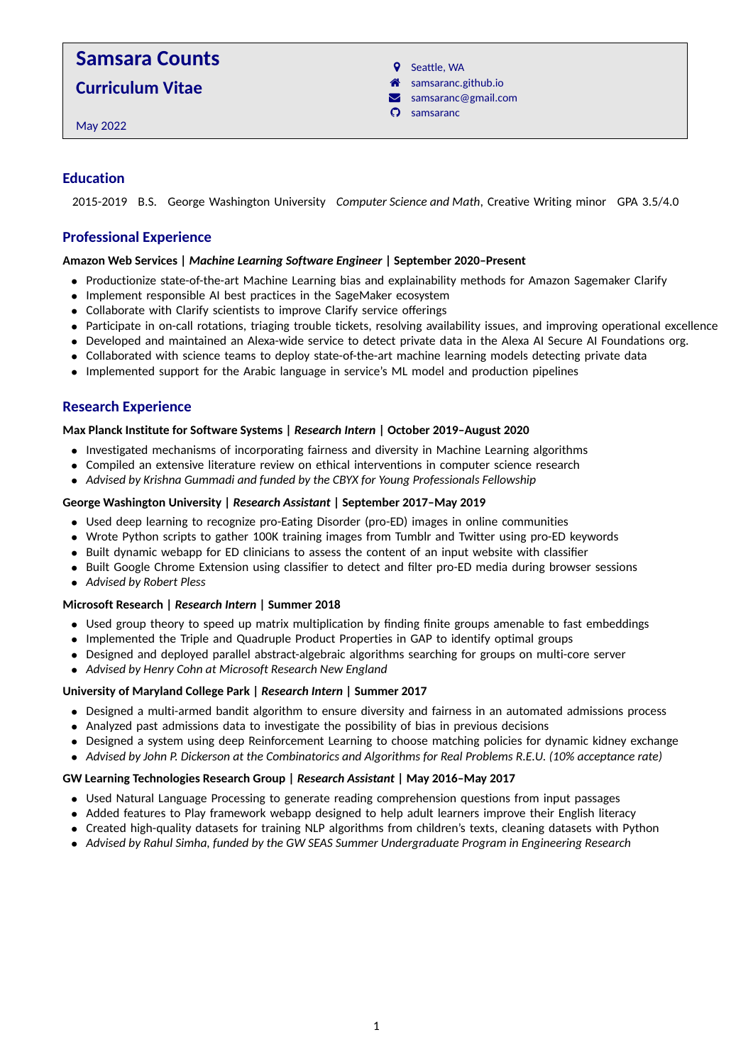# **Samsara Counts**

**Curriculum Vitae**

May 2022

**9** Seattle, WA

- a samsaranc.github.io
- $\blacktriangleright$  samsaranc@gmail.com
- $\Omega$  samsaranc

## **Education**

2015-2019 B.S. George Washington University *Computer Science and Math*, Creative Writing minor GPA 3.5/4.0

## **Professional Experience**

#### **Amazon Web Services |** *Machine Learning Software Engineer* **| September 2020–Present**

- Productionize state-of-the-art Machine Learning bias and explainability methods for Amazon Sagemaker Clarify
- Implement responsible AI best practices in the SageMaker ecosystem
- Collaborate with Clarify scientists to improve Clarify service offerings
- Participate in on-call rotations, triaging trouble tickets, resolving availability issues, and improving operational excellence
- Developed and maintained an Alexa-wide service to detect private data in the Alexa AI Secure AI Foundations org.
- Collaborated with science teams to deploy state-of-the-art machine learning models detecting private data
- Implemented support for the Arabic language in service's ML model and production pipelines

## **Research Experience**

#### **Max Planck Institute for Software Systems |** *Research Intern* **| October 2019–August 2020**

- Investigated mechanisms of incorporating fairness and diversity in Machine Learning algorithms
- Compiled an extensive literature review on ethical interventions in computer science research
- *Advised by Krishna Gummadi and funded by the CBYX for Young Professionals Fellowship*

#### **George Washington University |** *Research Assistant* **| September 2017–May 2019**

- Used deep learning to recognize pro-Eating Disorder (pro-ED) images in online communities
- Wrote Python scripts to gather 100K training images from Tumblr and Twitter using pro-ED keywords
- Built dynamic webapp for ED clinicians to assess the content of an input website with classifier
- Built Google Chrome Extension using classifier to detect and filter pro-ED media during browser sessions
- *Advised by Robert Pless*

#### **Microsoft Research |** *Research Intern* **| Summer 2018**

- Used group theory to speed up matrix multiplication by finding finite groups amenable to fast embeddings
- Implemented the Triple and Quadruple Product Properties in GAP to identify optimal groups
- Designed and deployed parallel abstract-algebraic algorithms searching for groups on multi-core server
- *Advised by Henry Cohn at Microsoft Research New England*

#### **University of Maryland College Park |** *Research Intern* **| Summer 2017**

- Designed a multi-armed bandit algorithm to ensure diversity and fairness in an automated admissions process
- Analyzed past admissions data to investigate the possibility of bias in previous decisions
- Designed a system using deep Reinforcement Learning to choose matching policies for dynamic kidney exchange
- *Advised by John P. Dickerson at the Combinatorics and Algorithms for Real Problems R.E.U. (10% acceptance rate)*

#### **GW Learning Technologies Research Group |** *Research Assistant* **| May 2016–May 2017**

- Used Natural Language Processing to generate reading comprehension questions from input passages
- Added features to Play framework webapp designed to help adult learners improve their English literacy
- Created high-quality datasets for training NLP algorithms from children's texts, cleaning datasets with Python
- *Advised by Rahul Simha, funded by the GW SEAS Summer Undergraduate Program in Engineering Research*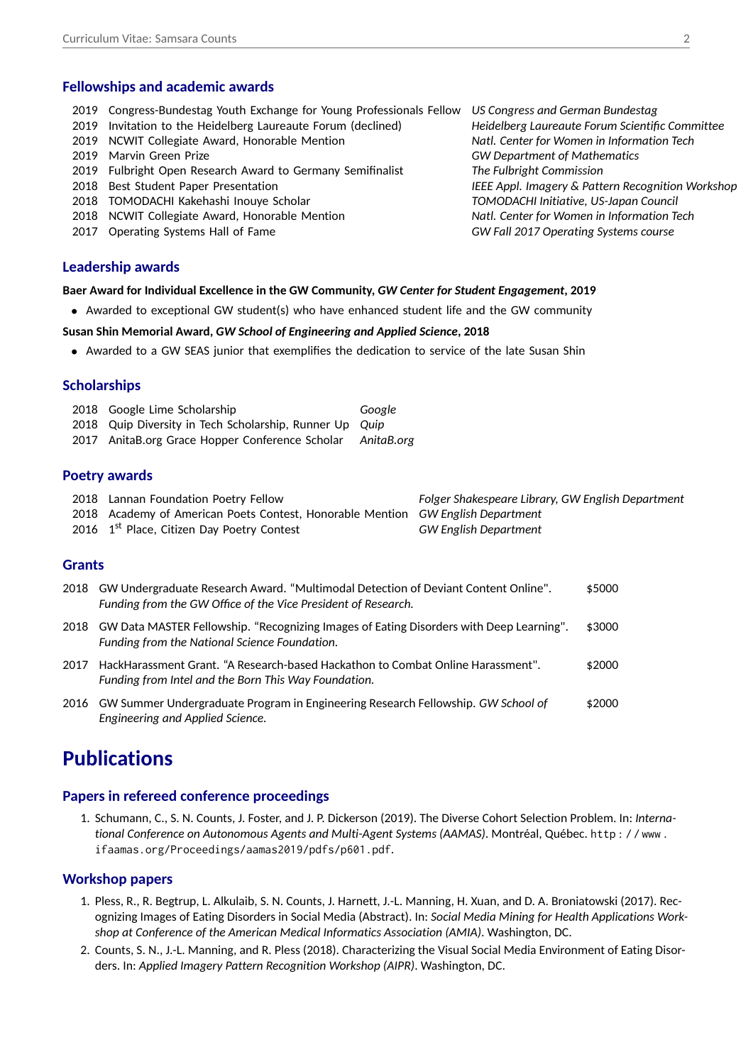## **Fellowships and academic awards**

- 2019 Congress-Bundestag Youth Exchange for Young Professionals Fellow *US Congress and German Bundestag*
- 2019 Invitation to the Heidelberg Laureaute Forum (declined) *Heidelberg Laureaute Forum Scientific Committee*
- 2019 NCWIT Collegiate Award, Honorable Mention *Natl. Center for Women in Information Tech*
- 
- 2019 Fulbright Open Research Award to Germany Semifinalist *The Fulbright Commission*
- 
- 2018 TOMODACHI Kakehashi Inouye Scholar *TOMODACHI Initiative, US-Japan Council*
- 2018 NCWIT Collegiate Award, Honorable Mention *Natl. Center for Women in Information Tech*
- 2017 Operating Systems Hall of Fame *GW Fall 2017 Operating Systems course*

#### **Leadership awards**

#### **Baer Award for Individual Excellence in the GW Community,** *GW Center for Student Engagement***, 2019**

• Awarded to exceptional GW student(s) who have enhanced student life and the GW community

#### **Susan Shin Memorial Award,** *GW School of Engineering and Applied Science***, 2018**

• Awarded to a GW SEAS junior that exemplifies the dedication to service of the late Susan Shin

## **Scholarships**

| 2018 Google Lime Scholarship                            |  |  | Google |  |
|---------------------------------------------------------|--|--|--------|--|
| 2018 Quip Diversity in Tech Scholarship, Runner Up Quip |  |  |        |  |
| $\sim$ $\sim$ $\sim$ $\sim$ $\sim$                      |  |  |        |  |

2017 AnitaB.org Grace Hopper Conference Scholar *AnitaB.org*

## **Poetry awards**

| 2018 Lannan Foundation Poetry Fellow                                            | Folger Shakespeare Library, GW English Department |
|---------------------------------------------------------------------------------|---------------------------------------------------|
| 2018 Academy of American Poets Contest, Honorable Mention GW English Department |                                                   |
| 2016 1 <sup>st</sup> Place, Citizen Day Poetry Contest                          | GW English Department                             |

## **Grants**

| 2018 | GW Undergraduate Research Award. "Multimodal Detection of Deviant Content Online".<br>Funding from the GW Office of the Vice President of Research. | \$5000 |
|------|-----------------------------------------------------------------------------------------------------------------------------------------------------|--------|
| 2018 | GW Data MASTER Fellowship. "Recognizing Images of Eating Disorders with Deep Learning".<br>Funding from the National Science Foundation.            | \$3000 |
| 2017 | HackHarassment Grant. "A Research-based Hackathon to Combat Online Harassment".<br>Funding from Intel and the Born This Way Foundation.             | \$2000 |
|      | 2016 GW Summer Undergraduate Program in Engineering Research Fellowship. GW School of<br>Engineering and Applied Science.                           | \$2000 |

## **Publications**

## **Papers in refereed conference proceedings**

1. Schumann, C., S. N. Counts, J. Foster, and J. P. Dickerson (2019). The Diverse Cohort Selection Problem. In: *International Conference on Autonomous Agents and Multi-Agent Systems (AAMAS)*. Montréal, Québec. http : / / www . ifaamas.org/Proceedings/aamas2019/pdfs/p601.pdf.

## **Workshop papers**

- 1. Pless, R., R. Begtrup, L. Alkulaib, S. N. Counts, J. Harnett, J.-L. Manning, H. Xuan, and D. A. Broniatowski (2017). Recognizing Images of Eating Disorders in Social Media (Abstract). In: *Social Media Mining for Health Applications Workshop at Conference of the American Medical Informatics Association (AMIA)*. Washington, DC.
- 2. Counts, S. N., J.-L. Manning, and R. Pless (2018). Characterizing the Visual Social Media Environment of Eating Disorders. In: *Applied Imagery Pattern Recognition Workshop (AIPR)*. Washington, DC.

2019 Marvin Green Prize *GW Department of Mathematics* 2018 Best Student Paper Presentation *IEEE Appl. Imagery & Pattern Recognition Workshop*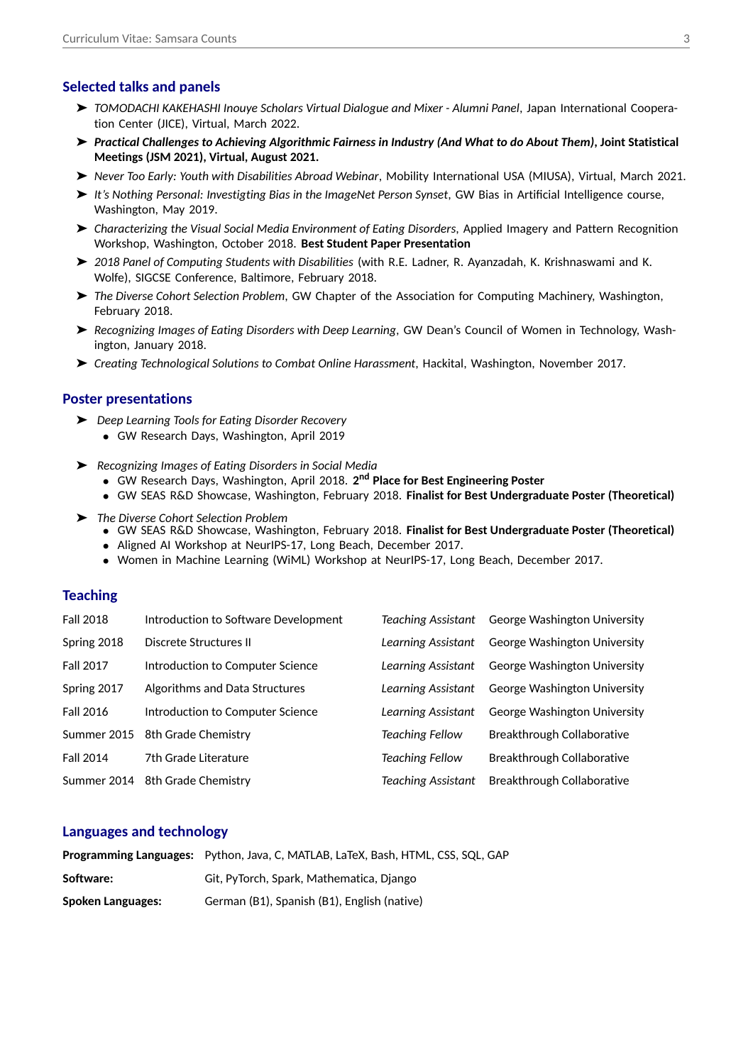## **Selected talks and panels**

- ➤ *TOMODACHI KAKEHASHI Inouye Scholars Virtual Dialogue and Mixer Alumni Panel*, Japan International Cooperation Center (JICE), Virtual, March 2022.
- ➤ *Practical Challenges to Achieving Algorithmic Fairness in Industry (And What to do About Them)***, Joint Statistical Meetings (JSM 2021), Virtual, August 2021.**
- ➤ *Never Too Early: Youth with Disabilities Abroad Webinar*, Mobility International USA (MIUSA), Virtual, March 2021.
- ➤ *It's Nothing Personal: Investigting Bias in the ImageNet Person Synset*, GW Bias in Artificial Intelligence course, Washington, May 2019.
- ➤ *Characterizing the Visual Social Media Environment of Eating Disorders*, Applied Imagery and Pattern Recognition Workshop, Washington, October 2018. **Best Student Paper Presentation**
- ➤ *2018 Panel of Computing Students with Disabilities* (with R.E. Ladner, R. Ayanzadah, K. Krishnaswami and K. Wolfe), SIGCSE Conference, Baltimore, February 2018.
- ➤ *The Diverse Cohort Selection Problem*, GW Chapter of the Association for Computing Machinery, Washington, February 2018.
- ➤ *Recognizing Images of Eating Disorders with Deep Learning*, GW Dean's Council of Women in Technology, Washington, January 2018.
- ➤ *Creating Technological Solutions to Combat Online Harassment*, Hackital, Washington, November 2017.

#### **Poster presentations**

- ➤ *Deep Learning Tools for Eating Disorder Recovery*
	- GW Research Days, Washington, April 2019
- ➤ *Recognizing Images of Eating Disorders in Social Media*
	- GW Research Days, Washington, April 2018. **2 nd Place for Best Engineering Poster**
	- GW SEAS R&D Showcase, Washington, February 2018. **Finalist for Best Undergraduate Poster (Theoretical)**
- ➤ *The Diverse Cohort Selection Problem*
	- GW SEAS R&D Showcase, Washington, February 2018. **Finalist for Best Undergraduate Poster (Theoretical)**
	- Aligned AI Workshop at NeurIPS-17, Long Beach, December 2017.
	- Women in Machine Learning (WiML) Workshop at NeurIPS-17, Long Beach, December 2017.

#### **Teaching**

| <b>Fall 2018</b> | Introduction to Software Development | Teaching Assistant        | George Washington University |
|------------------|--------------------------------------|---------------------------|------------------------------|
| Spring 2018      | Discrete Structures II               | Learning Assistant        | George Washington University |
| <b>Fall 2017</b> | Introduction to Computer Science     | Learning Assistant        | George Washington University |
| Spring 2017      | Algorithms and Data Structures       | Learning Assistant        | George Washington University |
| <b>Fall 2016</b> | Introduction to Computer Science     | Learning Assistant        | George Washington University |
| Summer 2015      | 8th Grade Chemistry                  | <b>Teaching Fellow</b>    | Breakthrough Collaborative   |
| <b>Fall 2014</b> | 7th Grade Literature                 | <b>Teaching Fellow</b>    | Breakthrough Collaborative   |
| Summer 2014      | 8th Grade Chemistry                  | <b>Teaching Assistant</b> | Breakthrough Collaborative   |

#### **Languages and technology**

|                          | <b>Programming Languages:</b> Python, Java, C, MATLAB, LaTeX, Bash, HTML, CSS, SQL, GAP |
|--------------------------|-----------------------------------------------------------------------------------------|
| Software:                | Git, PyTorch, Spark, Mathematica, Diango                                                |
| <b>Spoken Languages:</b> | German (B1), Spanish (B1), English (native)                                             |